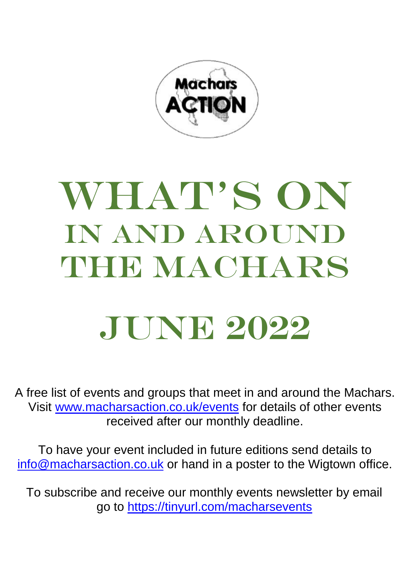

## WHAT'S ON in and around THE MACHARS

## JUNE 2022

A free list of events and groups that meet in and around the Machars. Visit [www.macharsaction.co.uk/events](http://www.macharsaction.co.uk/events) for details of other events received after our monthly deadline.

To have your event included in future editions send details to [info@macharsaction.co.uk](mailto:info@macharsaction.co.uk) or hand in a poster to the Wigtown office.

To subscribe and receive our monthly events newsletter by email go to<https://tinyurl.com/macharsevents>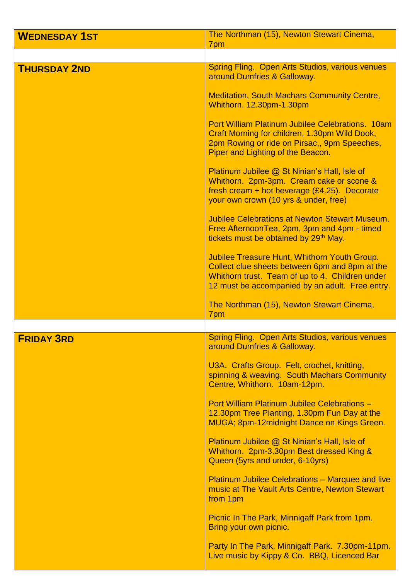| <b>WEDNESDAY 1ST</b> | The Northman (15), Newton Stewart Cinema,<br>7pm                                                                                                                                                            |
|----------------------|-------------------------------------------------------------------------------------------------------------------------------------------------------------------------------------------------------------|
|                      |                                                                                                                                                                                                             |
| <b>THURSDAY 2ND</b>  | <b>Spring Fling. Open Arts Studios, various venues</b><br>around Dumfries & Galloway.                                                                                                                       |
|                      | <b>Meditation, South Machars Community Centre,</b><br>Whithorn. 12.30pm-1.30pm                                                                                                                              |
|                      | <b>Port William Platinum Jubilee Celebrations. 10am</b><br>Craft Morning for children, 1.30pm Wild Dook,<br>2pm Rowing or ride on Pirsac,, 9pm Speeches,<br>Piper and Lighting of the Beacon.               |
|                      | Platinum Jubilee @ St Ninian's Hall, Isle of<br>Whithorn. 2pm-3pm. Cream cake or scone &<br>fresh cream + hot beverage $(E4.25)$ . Decorate<br>your own crown (10 yrs & under, free)                        |
|                      | <b>Jubilee Celebrations at Newton Stewart Museum.</b><br>Free AfternoonTea, 2pm, 3pm and 4pm - timed<br>tickets must be obtained by 29 <sup>th</sup> May.                                                   |
|                      | <b>Jubilee Treasure Hunt, Whithorn Youth Group.</b><br>Collect clue sheets between 6pm and 8pm at the<br>Whithorn trust. Team of up to 4. Children under<br>12 must be accompanied by an adult. Free entry. |
|                      | The Northman (15), Newton Stewart Cinema,<br>7pm                                                                                                                                                            |
|                      |                                                                                                                                                                                                             |
| <b>FRIDAY 3RD</b>    | <b>Spring Fling. Open Arts Studios, various venues</b><br>around Dumfries & Galloway.                                                                                                                       |
|                      | U3A. Crafts Group. Felt, crochet, knitting,<br>spinning & weaving. South Machars Community<br>Centre, Whithorn. 10am-12pm.                                                                                  |
|                      | Port William Platinum Jubilee Celebrations -<br>12.30pm Tree Planting, 1.30pm Fun Day at the<br>MUGA; 8pm-12midnight Dance on Kings Green.                                                                  |
|                      | Platinum Jubilee @ St Ninian's Hall, Isle of<br>Whithorn. 2pm-3.30pm Best dressed King &<br>Queen (5yrs and under, 6-10yrs)                                                                                 |
|                      | <b>Platinum Jubilee Celebrations - Marquee and live</b><br>music at The Vault Arts Centre, Newton Stewart<br>from 1pm                                                                                       |
|                      | Picnic In The Park, Minnigaff Park from 1pm.<br>Bring your own picnic.                                                                                                                                      |
|                      | Party In The Park, Minnigaff Park. 7.30pm-11pm.<br>Live music by Kippy & Co. BBQ, Licenced Bar                                                                                                              |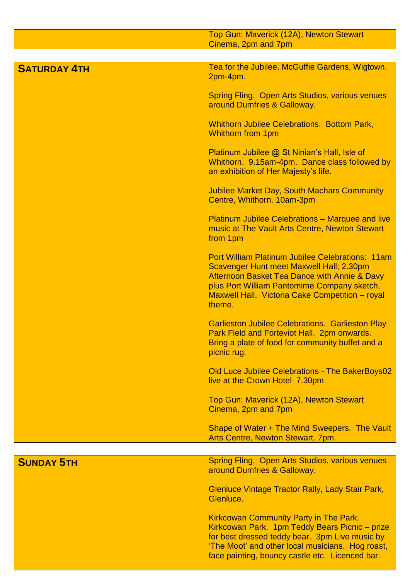|                     | Top Gun: Maverick (12A), Newton Stewart<br>Cinema, 2pm and 7pm                                                                                                                                                                                                  |
|---------------------|-----------------------------------------------------------------------------------------------------------------------------------------------------------------------------------------------------------------------------------------------------------------|
|                     |                                                                                                                                                                                                                                                                 |
| <b>SATURDAY 4TH</b> | Tea for the Jubilee, McGuffie Gardens, Wigtown.<br>2pm-4pm.                                                                                                                                                                                                     |
|                     | <b>Spring Fling. Open Arts Studios, various venues</b><br>around Dumfries & Galloway.                                                                                                                                                                           |
|                     | <b>Whithorn Jubilee Celebrations. Bottom Park,</b><br><b>Whithorn from 1pm</b>                                                                                                                                                                                  |
|                     | Platinum Jubilee @ St Ninian's Hall, Isle of<br>Whithorn. 9.15am-4pm. Dance class followed by<br>an exhibition of Her Majesty's life.                                                                                                                           |
|                     | <b>Jubilee Market Day, South Machars Community</b><br>Centre, Whithorn. 10am-3pm                                                                                                                                                                                |
|                     | <b>Platinum Jubilee Celebrations - Marquee and live</b><br>music at The Vault Arts Centre, Newton Stewart<br>from 1pm                                                                                                                                           |
|                     | <b>Port William Platinum Jubilee Celebrations: 11am</b><br>Scavenger Hunt meet Maxwell Hall; 2.30pm<br>Afternoon Basket Tea Dance with Annie & Davy<br>plus Port William Pantomime Company sketch,<br>Maxwell Hall. Victoria Cake Competition - royal<br>theme. |
|                     | <b>Garlieston Jubilee Celebrations. Garlieston Play</b><br>Park Field and Forteviot Hall. 2pm onwards.<br>Bring a plate of food for community buffet and a<br>picnic rug.                                                                                       |
|                     | Old Luce Jubilee Celebrations - The BakerBoys02<br>live at the Crown Hotel 7.30pm                                                                                                                                                                               |
|                     | Top Gun: Maverick (12A), Newton Stewart<br>Cinema, 2pm and 7pm                                                                                                                                                                                                  |
|                     | Shape of Water + The Mind Sweepers. The Vault<br>Arts Centre, Newton Stewart. 7pm.                                                                                                                                                                              |
|                     |                                                                                                                                                                                                                                                                 |
| <b>SUNDAY 5TH</b>   | <b>Spring Fling. Open Arts Studios, various venues</b><br>around Dumfries & Galloway.                                                                                                                                                                           |
|                     | <b>Glenluce Vintage Tractor Rally, Lady Stair Park,</b><br>Glenluce.                                                                                                                                                                                            |
|                     | <b>Kirkcowan Community Party in The Park.</b><br>Kirkcowan Park. 1pm Teddy Bears Picnic - prize<br>for best dressed teddy bear. 3pm Live music by<br>'The Moot' and other local musicians. Hog roast,<br>face painting, bouncy castle etc. Licenced bar.        |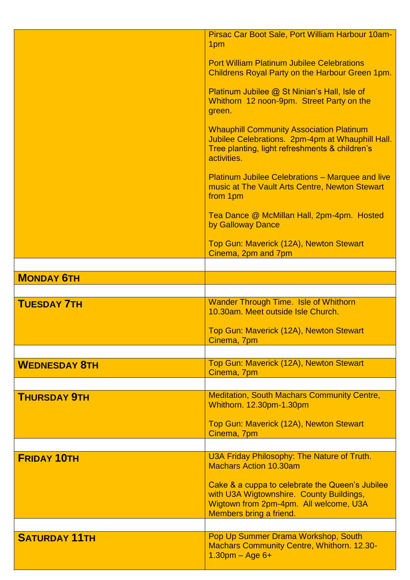|                      | Pirsac Car Boot Sale, Port William Harbour 10am-<br>1pm                                                                                                              |
|----------------------|----------------------------------------------------------------------------------------------------------------------------------------------------------------------|
|                      | <b>Port William Platinum Jubilee Celebrations</b><br>Childrens Royal Party on the Harbour Green 1pm.                                                                 |
|                      | Platinum Jubilee @ St Ninian's Hall, Isle of<br>Whithorn 12 noon-9pm. Street Party on the<br>green.                                                                  |
|                      | <b>Whauphill Community Association Platinum</b><br>Jubilee Celebrations. 2pm-4pm at Whauphill Hall.<br>Tree planting, light refreshments & children's<br>activities. |
|                      | <b>Platinum Jubilee Celebrations - Marquee and live</b><br>music at The Vault Arts Centre, Newton Stewart<br>from 1pm                                                |
|                      | Tea Dance @ McMillan Hall, 2pm-4pm. Hosted<br>by Galloway Dance                                                                                                      |
|                      | Top Gun: Maverick (12A), Newton Stewart<br>Cinema, 2pm and 7pm                                                                                                       |
|                      |                                                                                                                                                                      |
| <b>MONDAY 6TH</b>    |                                                                                                                                                                      |
|                      |                                                                                                                                                                      |
| <b>TUESDAY 7TH</b>   | <b>Wander Through Time. Isle of Whithorn</b><br>10.30am. Meet outside Isle Church.                                                                                   |
|                      |                                                                                                                                                                      |
|                      | Top Gun: Maverick (12A), Newton Stewart<br>Cinema, 7pm                                                                                                               |
|                      |                                                                                                                                                                      |
| <b>WEDNESDAY 8TH</b> | Top Gun: Maverick (12A), Newton Stewart<br>Cinema, 7pm                                                                                                               |
|                      |                                                                                                                                                                      |
| <b>THURSDAY 9TH</b>  | <b>Meditation, South Machars Community Centre,</b><br>Whithorn. 12.30pm-1.30pm                                                                                       |
|                      | Top Gun: Maverick (12A), Newton Stewart<br>Cinema, 7pm                                                                                                               |
|                      |                                                                                                                                                                      |
| <b>FRIDAY 10TH</b>   | U3A Friday Philosophy: The Nature of Truth.<br><b>Machars Action 10.30am</b>                                                                                         |
|                      | Cake & a cuppa to celebrate the Queen's Jubilee<br>with U3A Wigtownshire. County Buildings,<br>Wigtown from 2pm-4pm. All welcome, U3A<br>Members bring a friend.     |
|                      |                                                                                                                                                                      |
| <b>SATURDAY 11TH</b> | Pop Up Summer Drama Workshop, South<br><b>Machars Community Centre, Whithorn. 12.30-</b><br>$1.30$ pm – Age 6+                                                       |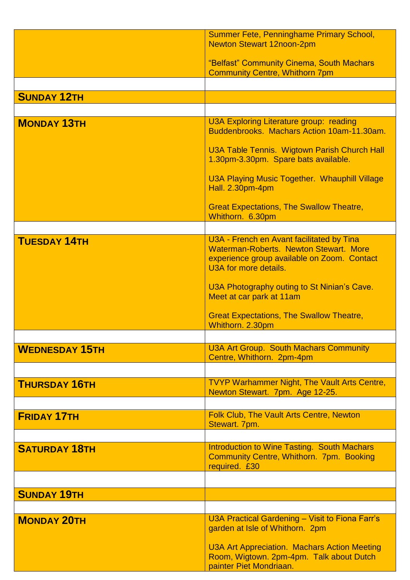|                       | Summer Fete, Penninghame Primary School,             |
|-----------------------|------------------------------------------------------|
|                       | <b>Newton Stewart 12noon-2pm</b>                     |
|                       |                                                      |
|                       | "Belfast" Community Cinema, South Machars            |
|                       | <b>Community Centre, Whithorn 7pm</b>                |
|                       |                                                      |
| <b>SUNDAY 12TH</b>    |                                                      |
|                       |                                                      |
|                       |                                                      |
| <b>MONDAY 13TH</b>    | U3A Exploring Literature group: reading              |
|                       | Buddenbrooks. Machars Action 10am-11.30am.           |
|                       |                                                      |
|                       | U3A Table Tennis. Wigtown Parish Church Hall         |
|                       | 1.30pm-3.30pm. Spare bats available.                 |
|                       |                                                      |
|                       | <b>U3A Playing Music Together. Whauphill Village</b> |
|                       | <b>Hall. 2.30pm-4pm</b>                              |
|                       |                                                      |
|                       | <b>Great Expectations, The Swallow Theatre,</b>      |
|                       | Whithorn. 6.30pm                                     |
|                       |                                                      |
|                       |                                                      |
| <b>TUESDAY 14TH</b>   | U3A - French en Avant facilitated by Tina            |
|                       | Waterman-Roberts, Newton Stewart, More               |
|                       | experience group available on Zoom. Contact          |
|                       | U3A for more details.                                |
|                       |                                                      |
|                       | U3A Photography outing to St Ninian's Cave.          |
|                       | Meet at car park at 11am                             |
|                       |                                                      |
|                       | <b>Great Expectations, The Swallow Theatre,</b>      |
|                       | Whithorn. 2.30pm                                     |
|                       |                                                      |
| <b>WEDNESDAY 15TH</b> | <b>U3A Art Group. South Machars Community</b>        |
|                       | Centre, Whithorn. 2pm-4pm                            |
|                       |                                                      |
|                       |                                                      |
| <b>THURSDAY 16TH</b>  | <b>TVYP Warhammer Night, The Vault Arts Centre,</b>  |
|                       | Newton Stewart. 7pm. Age 12-25.                      |
|                       |                                                      |
|                       | Folk Club, The Vault Arts Centre, Newton             |
| <b>FRIDAY 17TH</b>    | Stewart. 7pm.                                        |
|                       |                                                      |
|                       |                                                      |
| <b>SATURDAY 18TH</b>  | <b>Introduction to Wine Tasting. South Machars</b>   |
|                       | <b>Community Centre, Whithorn. 7pm. Booking</b>      |
|                       | required. £30                                        |
|                       |                                                      |
|                       |                                                      |
| <b>SUNDAY 19TH</b>    |                                                      |
|                       |                                                      |
|                       |                                                      |
| <b>MONDAY 20TH</b>    | U3A Practical Gardening - Visit to Fiona Farr's      |
|                       | garden at Isle of Whithorn. 2pm                      |
|                       |                                                      |
|                       | <b>U3A Art Appreciation. Machars Action Meeting</b>  |
|                       | Room, Wigtown. 2pm-4pm. Talk about Dutch             |
|                       | painter Piet Mondriaan.                              |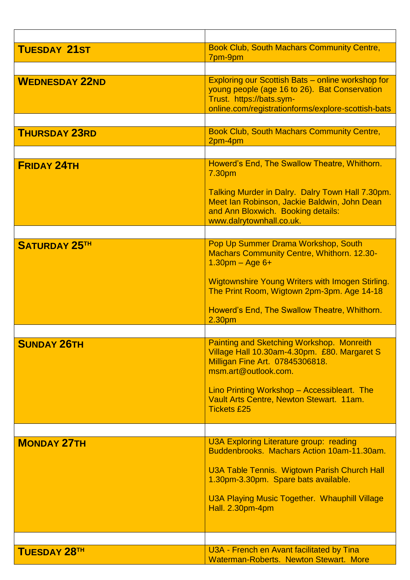| <b>TUESDAY 21ST</b>   | <b>Book Club, South Machars Community Centre,</b><br>7pm-9pm                                                                                                       |
|-----------------------|--------------------------------------------------------------------------------------------------------------------------------------------------------------------|
|                       |                                                                                                                                                                    |
| <b>WEDNESDAY 22ND</b> | Exploring our Scottish Bats – online workshop for<br>young people (age 16 to 26). Bat Conservation<br>Trust. https://bats.sym-                                     |
|                       | online.com/registrationforms/explore-scottish-bats                                                                                                                 |
| <b>THURSDAY 23RD</b>  | <b>Book Club, South Machars Community Centre,</b>                                                                                                                  |
|                       | 2pm-4pm                                                                                                                                                            |
|                       |                                                                                                                                                                    |
| <b>FRIDAY 24TH</b>    | Howerd's End, The Swallow Theatre, Whithorn.<br>7.30pm                                                                                                             |
|                       | Talking Murder in Dalry. Dalry Town Hall 7.30pm.<br>Meet Ian Robinson, Jackie Baldwin, John Dean<br>and Ann Bloxwich. Booking details:<br>www.dalrytownhall.co.uk. |
|                       |                                                                                                                                                                    |
| <b>SATURDAY 25TH</b>  | Pop Up Summer Drama Workshop, South<br><b>Machars Community Centre, Whithorn. 12.30-</b><br>$1.30$ pm – Age 6+                                                     |
|                       | <b>Wigtownshire Young Writers with Imogen Stirling.</b><br>The Print Room, Wigtown 2pm-3pm. Age 14-18                                                              |
|                       | Howerd's End, The Swallow Theatre, Whithorn.<br>2.30pm                                                                                                             |
|                       |                                                                                                                                                                    |
| <b>SUNDAY 26TH</b>    | <b>Painting and Sketching Workshop. Monreith</b><br>Village Hall 10.30am-4.30pm. £80. Margaret S<br>Milligan Fine Art. 07845306818.<br>msm.art@outlook.com.        |
|                       | Lino Printing Workshop - Accessibleart. The<br>Vault Arts Centre, Newton Stewart. 11am.<br><b>Tickets £25</b>                                                      |
|                       |                                                                                                                                                                    |
| <b>MONDAY 27TH</b>    | U3A Exploring Literature group: reading<br>Buddenbrooks. Machars Action 10am-11.30am.                                                                              |
|                       | U3A Table Tennis. Wigtown Parish Church Hall<br>1.30pm-3.30pm. Spare bats available.                                                                               |
|                       | U3A Playing Music Together. Whauphill Village<br><b>Hall. 2.30pm-4pm</b>                                                                                           |
|                       |                                                                                                                                                                    |
|                       |                                                                                                                                                                    |
| <b>TUESDAY 28TH</b>   | U3A - French en Avant facilitated by Tina<br><b>Waterman-Roberts. Newton Stewart. More</b>                                                                         |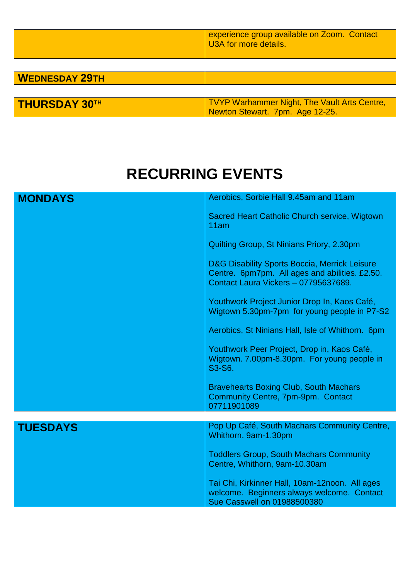|                       | experience group available on Zoom. Contact<br>U3A for more details.                   |
|-----------------------|----------------------------------------------------------------------------------------|
|                       |                                                                                        |
| <b>WEDNESDAY 29TH</b> |                                                                                        |
|                       |                                                                                        |
| <b>THURSDAY 30TH</b>  | <b>TVYP Warhammer Night, The Vault Arts Centre,</b><br>Newton Stewart. 7pm. Age 12-25. |
|                       |                                                                                        |

## **RECURRING EVENTS**

| <b>MONDAYS</b>  | Aerobics, Sorbie Hall 9.45am and 11am                                                                                                   |
|-----------------|-----------------------------------------------------------------------------------------------------------------------------------------|
|                 | Sacred Heart Catholic Church service, Wigtown<br>11am                                                                                   |
|                 | Quilting Group, St Ninians Priory, 2.30pm                                                                                               |
|                 | D&G Disability Sports Boccia, Merrick Leisure<br>Centre. 6pm7pm. All ages and abilities. £2.50.<br>Contact Laura Vickers - 07795637689. |
|                 | Youthwork Project Junior Drop In, Kaos Café,<br>Wigtown 5.30pm-7pm for young people in P7-S2                                            |
|                 | Aerobics, St Ninians Hall, Isle of Whithorn. 6pm                                                                                        |
|                 | Youthwork Peer Project, Drop in, Kaos Café,<br>Wigtown. 7.00pm-8.30pm. For young people in<br>S3-S6.                                    |
|                 | <b>Bravehearts Boxing Club, South Machars</b><br>Community Centre, 7pm-9pm. Contact<br>07711901089                                      |
|                 |                                                                                                                                         |
| <b>TUESDAYS</b> | Pop Up Café, South Machars Community Centre,<br>Whithorn. 9am-1.30pm                                                                    |
|                 | <b>Toddlers Group, South Machars Community</b><br>Centre, Whithorn, 9am-10.30am                                                         |
|                 | Tai Chi, Kirkinner Hall, 10am-12noon. All ages<br>welcome. Beginners always welcome. Contact<br><b>Sue Casswell on 01988500380</b>      |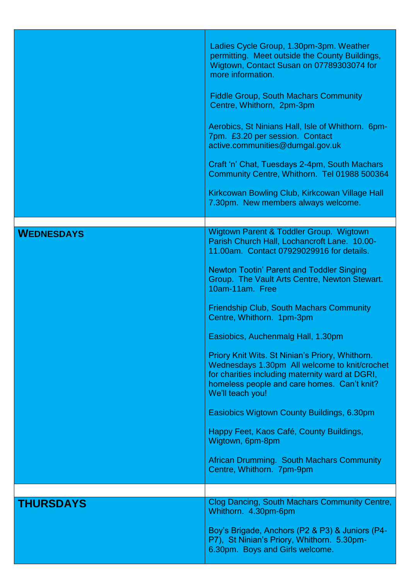|                   | Ladies Cycle Group, 1.30pm-3pm. Weather<br>permitting. Meet outside the County Buildings,<br>Wigtown, Contact Susan on 07789303074 for<br>more information.<br><b>Fiddle Group, South Machars Community</b><br>Centre, Whithorn, 2pm-3pm<br>Aerobics, St Ninians Hall, Isle of Whithorn. 6pm-<br>7pm. £3.20 per session. Contact<br>active.communities@dumgal.gov.uk<br>Craft 'n' Chat, Tuesdays 2-4pm, South Machars<br>Community Centre, Whithorn. Tel 01988 500364<br>Kirkcowan Bowling Club, Kirkcowan Village Hall                                                                                                                                                                                                                                                                                     |
|-------------------|-------------------------------------------------------------------------------------------------------------------------------------------------------------------------------------------------------------------------------------------------------------------------------------------------------------------------------------------------------------------------------------------------------------------------------------------------------------------------------------------------------------------------------------------------------------------------------------------------------------------------------------------------------------------------------------------------------------------------------------------------------------------------------------------------------------|
|                   | 7.30pm. New members always welcome.                                                                                                                                                                                                                                                                                                                                                                                                                                                                                                                                                                                                                                                                                                                                                                         |
|                   |                                                                                                                                                                                                                                                                                                                                                                                                                                                                                                                                                                                                                                                                                                                                                                                                             |
| <b>WEDNESDAYS</b> | Wigtown Parent & Toddler Group. Wigtown<br>Parish Church Hall, Lochancroft Lane. 10.00-<br>11.00am. Contact 07929029916 for details.<br><b>Newton Tootin' Parent and Toddler Singing</b><br>Group. The Vault Arts Centre, Newton Stewart.<br>10am-11am. Free<br><b>Friendship Club, South Machars Community</b><br>Centre, Whithorn. 1pm-3pm<br>Easiobics, Auchenmalg Hall, 1.30pm<br>Priory Knit Wits. St Ninian's Priory, Whithorn.<br>Wednesdays 1.30pm All welcome to knit/crochet<br>for charities including maternity ward at DGRI,<br>homeless people and care homes. Can't knit?<br>We'll teach you!<br>Easiobics Wigtown County Buildings, 6.30pm<br>Happy Feet, Kaos Café, County Buildings,<br>Wigtown, 6pm-8pm<br><b>African Drumming. South Machars Community</b><br>Centre, Whithorn. 7pm-9pm |
|                   |                                                                                                                                                                                                                                                                                                                                                                                                                                                                                                                                                                                                                                                                                                                                                                                                             |
| <b>THURSDAYS</b>  | Clog Dancing, South Machars Community Centre,<br>Whithorn. 4.30pm-6pm<br>Boy's Brigade, Anchors (P2 & P3) & Juniors (P4-                                                                                                                                                                                                                                                                                                                                                                                                                                                                                                                                                                                                                                                                                    |
|                   | P7), St Ninian's Priory, Whithorn. 5.30pm-<br>6.30pm. Boys and Girls welcome.                                                                                                                                                                                                                                                                                                                                                                                                                                                                                                                                                                                                                                                                                                                               |